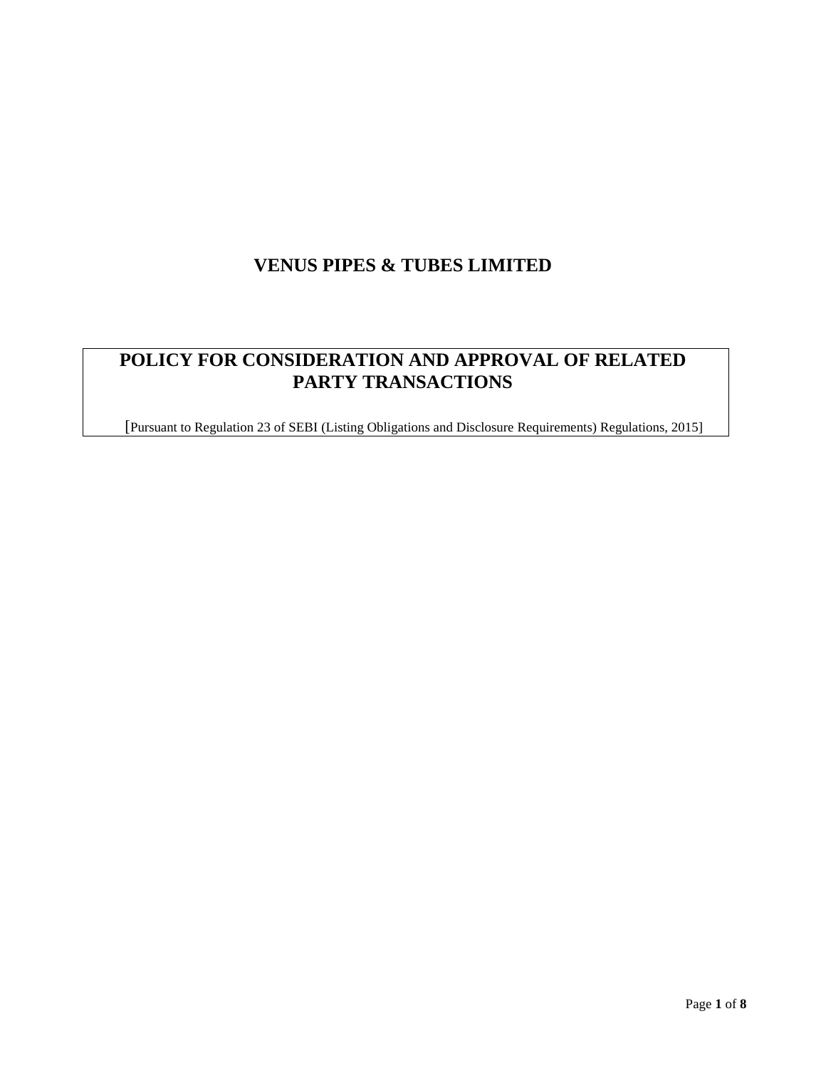# **VENUS PIPES & TUBES LIMITED**

# **POLICY FOR CONSIDERATION AND APPROVAL OF RELATED PARTY TRANSACTIONS**

[Pursuant to Regulation 23 of SEBI (Listing Obligations and Disclosure Requirements) Regulations, 2015]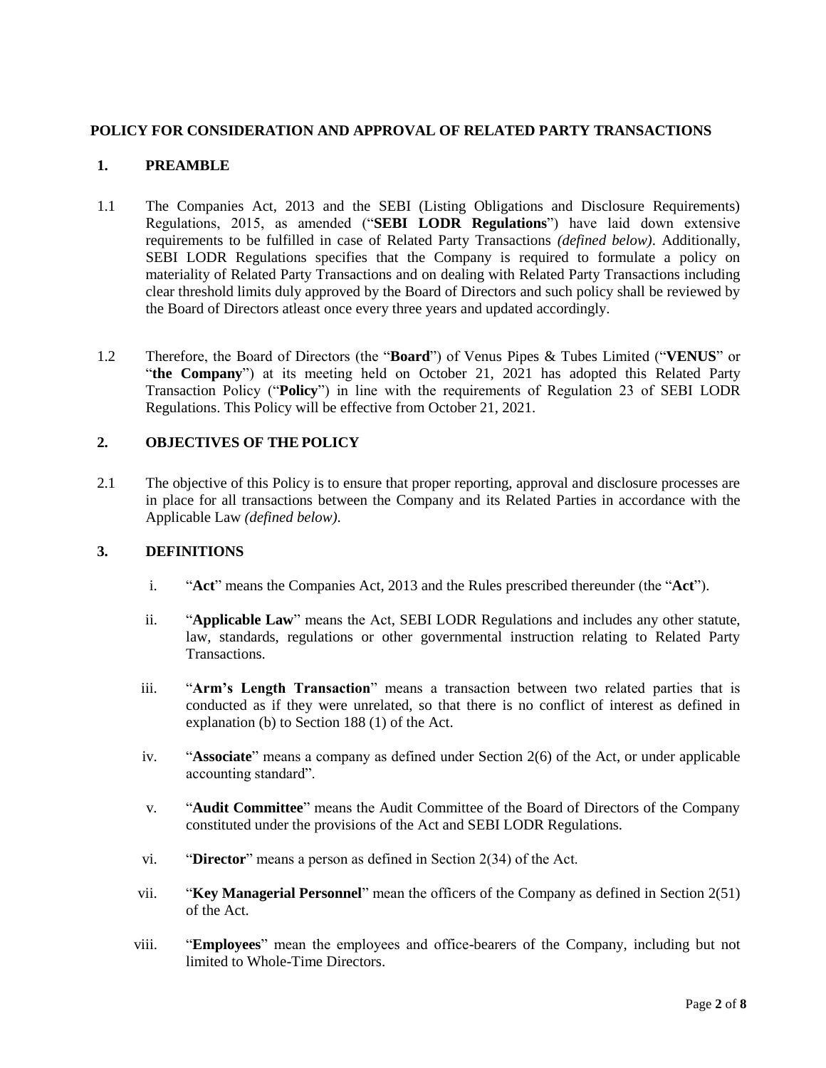## **POLICY FOR CONSIDERATION AND APPROVAL OF RELATED PARTY TRANSACTIONS**

## **1. PREAMBLE**

- 1.1 The Companies Act, 2013 and the SEBI (Listing Obligations and Disclosure Requirements) Regulations, 2015, as amended ("**SEBI LODR Regulations**") have laid down extensive requirements to be fulfilled in case of Related Party Transactions *(defined below)*. Additionally, SEBI LODR Regulations specifies that the Company is required to formulate a policy on materiality of Related Party Transactions and on dealing with Related Party Transactions including clear threshold limits duly approved by the Board of Directors and such policy shall be reviewed by the Board of Directors atleast once every three years and updated accordingly.
- 1.2 Therefore, the Board of Directors (the "**Board**") of Venus Pipes & Tubes Limited ("**VENUS**" or "**the Company**") at its meeting held on October 21, 2021 has adopted this Related Party Transaction Policy ("**Policy**") in line with the requirements of Regulation 23 of SEBI LODR Regulations. This Policy will be effective from October 21, 2021.

## **2. OBJECTIVES OF THE POLICY**

2.1 The objective of this Policy is to ensure that proper reporting, approval and disclosure processes are in place for all transactions between the Company and its Related Parties in accordance with the Applicable Law *(defined below)*.

## **3. DEFINITIONS**

- i. "**Act**" means the Companies Act, 2013 and the Rules prescribed thereunder (the "**Act**").
- ii. "**Applicable Law**" means the Act, SEBI LODR Regulations and includes any other statute, law, standards, regulations or other governmental instruction relating to Related Party Transactions.
- iii. "**Arm's Length Transaction**" means a transaction between two related parties that is conducted as if they were unrelated, so that there is no conflict of interest as defined in explanation (b) to Section 188 (1) of the Act.
- iv. "**Associate**" means a company as defined under Section 2(6) of the Act, or under applicable accounting standard".
- v. "**Audit Committee**" means the Audit Committee of the Board of Directors of the Company constituted under the provisions of the Act and SEBI LODR Regulations.
- vi. "**Director**" means a person as defined in Section 2(34) of the Act.
- vii. "**Key Managerial Personnel**" mean the officers of the Company as defined in Section 2(51) of the Act.
- viii. "**Employees**" mean the employees and office-bearers of the Company, including but not limited to Whole-Time Directors.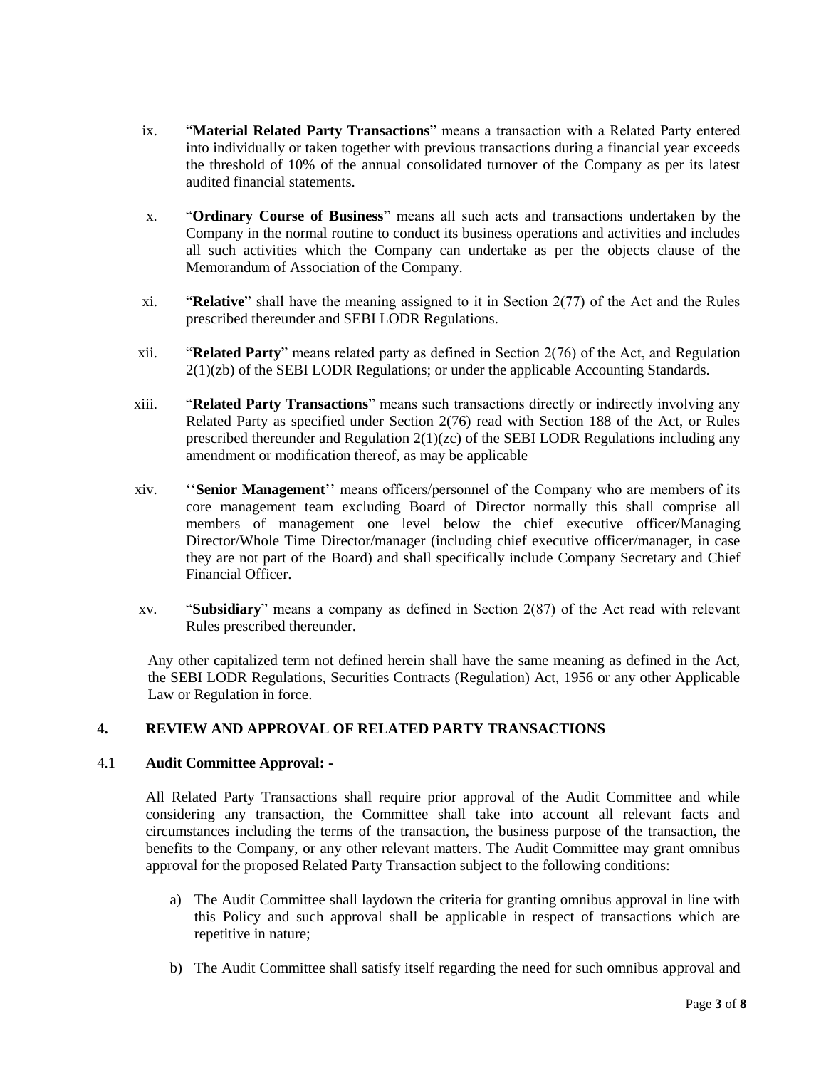- ix. "**Material Related Party Transactions**" means a transaction with a Related Party entered into individually or taken together with previous transactions during a financial year exceeds the threshold of 10% of the annual consolidated turnover of the Company as per its latest audited financial statements.
- x. "**Ordinary Course of Business**" means all such acts and transactions undertaken by the Company in the normal routine to conduct its business operations and activities and includes all such activities which the Company can undertake as per the objects clause of the Memorandum of Association of the Company.
- xi. "**Relative**" shall have the meaning assigned to it in Section 2(77) of the Act and the Rules prescribed thereunder and SEBI LODR Regulations.
- xii. "**Related Party**" means related party as defined in Section 2(76) of the Act, and Regulation 2(1)(zb) of the SEBI LODR Regulations; or under the applicable Accounting Standards.
- xiii. "**Related Party Transactions**" means such transactions directly or indirectly involving any Related Party as specified under Section 2(76) read with Section 188 of the Act, or Rules prescribed thereunder and Regulation 2(1)(zc) of the SEBI LODR Regulations including any amendment or modification thereof, as may be applicable
- xiv. ''**Senior Management**'' means officers/personnel of the Company who are members of its core management team excluding Board of Director normally this shall comprise all members of management one level below the chief executive officer/Managing Director/Whole Time Director/manager (including chief executive officer/manager, in case they are not part of the Board) and shall specifically include Company Secretary and Chief Financial Officer.
- xv. "**Subsidiary**" means a company as defined in Section 2(87) of the Act read with relevant Rules prescribed thereunder.

Any other capitalized term not defined herein shall have the same meaning as defined in the Act, the SEBI LODR Regulations, Securities Contracts (Regulation) Act, 1956 or any other Applicable Law or Regulation in force.

## **4. REVIEW AND APPROVAL OF RELATED PARTY TRANSACTIONS**

## 4.1 **Audit Committee Approval: -**

All Related Party Transactions shall require prior approval of the Audit Committee and while considering any transaction, the Committee shall take into account all relevant facts and circumstances including the terms of the transaction, the business purpose of the transaction, the benefits to the Company, or any other relevant matters. The Audit Committee may grant omnibus approval for the proposed Related Party Transaction subject to the following conditions:

- a) The Audit Committee shall laydown the criteria for granting omnibus approval in line with this Policy and such approval shall be applicable in respect of transactions which are repetitive in nature;
- b) The Audit Committee shall satisfy itself regarding the need for such omnibus approval and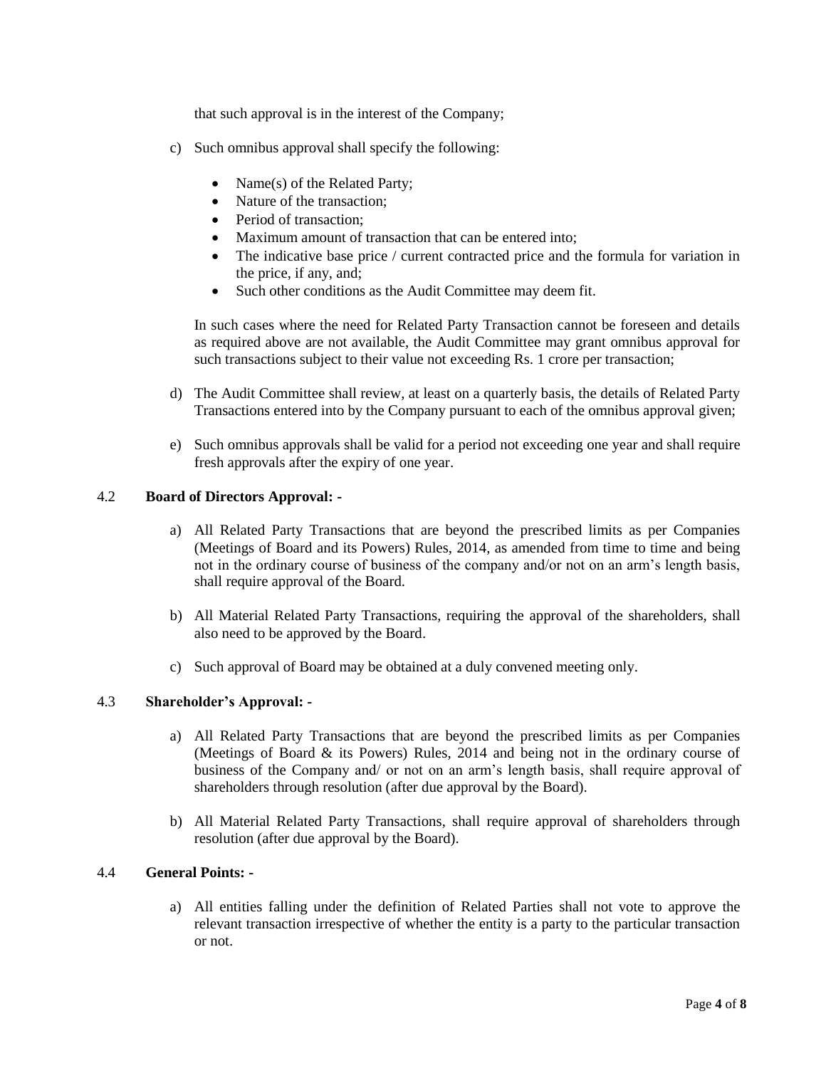that such approval is in the interest of the Company;

- c) Such omnibus approval shall specify the following:
	- Name(s) of the Related Party;
	- Nature of the transaction;
	- Period of transaction:
	- Maximum amount of transaction that can be entered into:
	- The indicative base price / current contracted price and the formula for variation in the price, if any, and;
	- Such other conditions as the Audit Committee may deem fit.

In such cases where the need for Related Party Transaction cannot be foreseen and details as required above are not available, the Audit Committee may grant omnibus approval for such transactions subject to their value not exceeding Rs. 1 crore per transaction;

- d) The Audit Committee shall review, at least on a quarterly basis, the details of Related Party Transactions entered into by the Company pursuant to each of the omnibus approval given;
- e) Such omnibus approvals shall be valid for a period not exceeding one year and shall require fresh approvals after the expiry of one year.

## 4.2 **Board of Directors Approval: -**

- a) All Related Party Transactions that are beyond the prescribed limits as per Companies (Meetings of Board and its Powers) Rules, 2014, as amended from time to time and being not in the ordinary course of business of the company and/or not on an arm's length basis, shall require approval of the Board.
- b) All Material Related Party Transactions, requiring the approval of the shareholders, shall also need to be approved by the Board.
- c) Such approval of Board may be obtained at a duly convened meeting only.

## 4.3 **Shareholder's Approval: -**

- a) All Related Party Transactions that are beyond the prescribed limits as per Companies (Meetings of Board & its Powers) Rules, 2014 and being not in the ordinary course of business of the Company and/ or not on an arm's length basis, shall require approval of shareholders through resolution (after due approval by the Board).
- b) All Material Related Party Transactions, shall require approval of shareholders through resolution (after due approval by the Board).

#### 4.4 **General Points: -**

a) All entities falling under the definition of Related Parties shall not vote to approve the relevant transaction irrespective of whether the entity is a party to the particular transaction or not.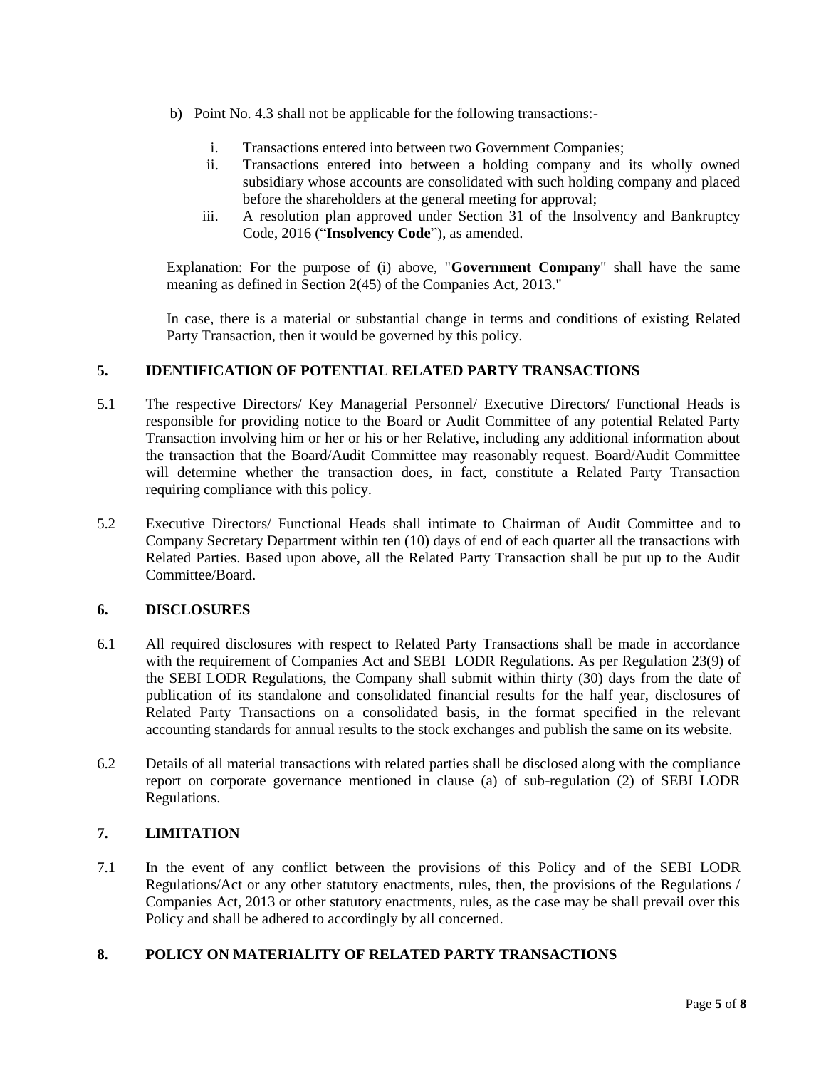- b) Point No. 4.3 shall not be applicable for the following transactions:
	- i. Transactions entered into between two Government Companies;
	- ii. Transactions entered into between a holding company and its wholly owned subsidiary whose accounts are consolidated with such holding company and placed before the shareholders at the general meeting for approval;
	- iii. A resolution plan approved under Section 31 of the Insolvency and Bankruptcy Code, 2016 ("**Insolvency Code**"), as amended.

Explanation: For the purpose of (i) above, "**Government Company**" shall have the same meaning as defined in Section 2(45) of the Companies Act, 2013."

In case, there is a material or substantial change in terms and conditions of existing Related Party Transaction, then it would be governed by this policy.

## **5. IDENTIFICATION OF POTENTIAL RELATED PARTY TRANSACTIONS**

- 5.1 The respective Directors/ Key Managerial Personnel/ Executive Directors/ Functional Heads is responsible for providing notice to the Board or Audit Committee of any potential Related Party Transaction involving him or her or his or her Relative, including any additional information about the transaction that the Board/Audit Committee may reasonably request. Board/Audit Committee will determine whether the transaction does, in fact, constitute a Related Party Transaction requiring compliance with this policy.
- 5.2 Executive Directors/ Functional Heads shall intimate to Chairman of Audit Committee and to Company Secretary Department within ten (10) days of end of each quarter all the transactions with Related Parties. Based upon above, all the Related Party Transaction shall be put up to the Audit Committee/Board.

## **6. DISCLOSURES**

- 6.1 All required disclosures with respect to Related Party Transactions shall be made in accordance with the requirement of Companies Act and SEBI LODR Regulations. As per Regulation 23(9) of the SEBI LODR Regulations, the Company shall submit within thirty (30) days from the date of publication of its standalone and consolidated financial results for the half year, disclosures of Related Party Transactions on a consolidated basis, in the format specified in the relevant accounting standards for annual results to the stock exchanges and publish the same on its website.
- 6.2 Details of all material transactions with related parties shall be disclosed along with the compliance report on corporate governance mentioned in clause (a) of sub-regulation (2) of SEBI LODR Regulations.

## **7. LIMITATION**

7.1 In the event of any conflict between the provisions of this Policy and of the SEBI LODR Regulations/Act or any other statutory enactments, rules, then, the provisions of the Regulations / Companies Act, 2013 or other statutory enactments, rules, as the case may be shall prevail over this Policy and shall be adhered to accordingly by all concerned.

## **8. POLICY ON MATERIALITY OF RELATED PARTY TRANSACTIONS**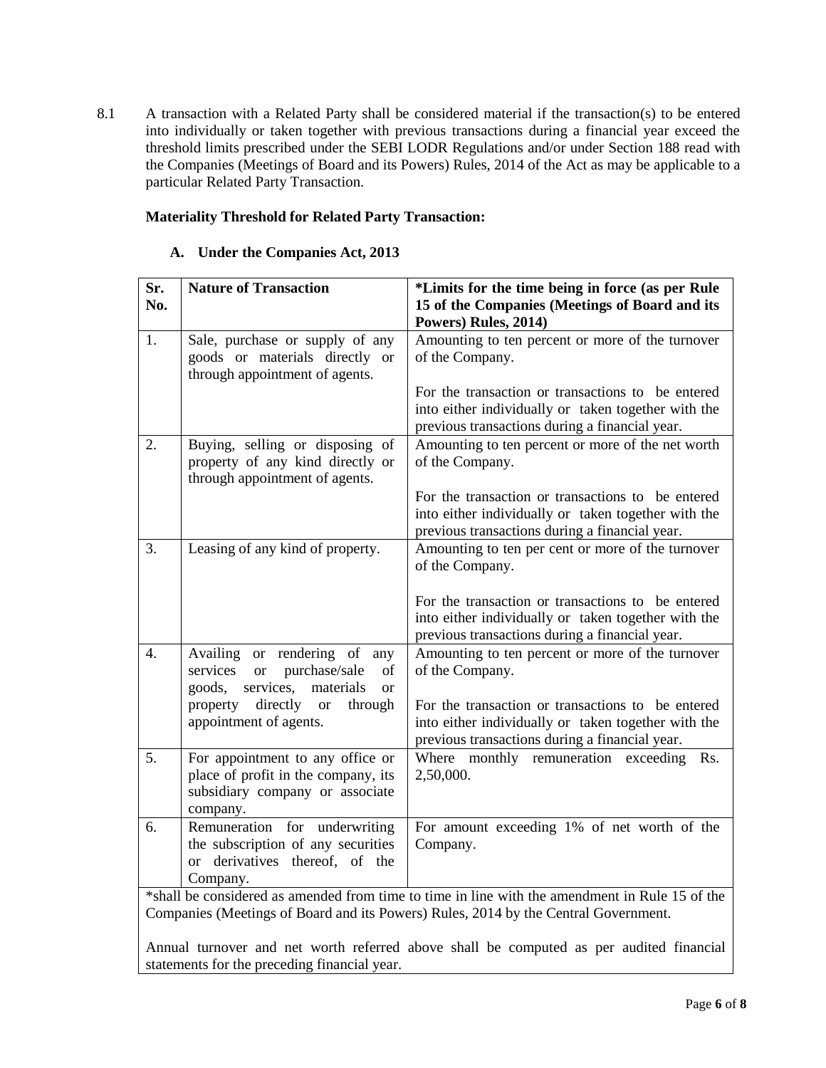8.1 A transaction with a Related Party shall be considered material if the transaction(s) to be entered into individually or taken together with previous transactions during a financial year exceed the threshold limits prescribed under the SEBI LODR Regulations and/or under Section 188 read with the Companies (Meetings of Board and its Powers) Rules, 2014 of the Act as may be applicable to a particular Related Party Transaction.

## **Materiality Threshold for Related Party Transaction:**

| Sr.<br>No.                                                                                                                                                                            | <b>Nature of Transaction</b>                                                                                                      | *Limits for the time being in force (as per Rule<br>15 of the Companies (Meetings of Board and its<br>Powers) Rules, 2014)                                 |  |
|---------------------------------------------------------------------------------------------------------------------------------------------------------------------------------------|-----------------------------------------------------------------------------------------------------------------------------------|------------------------------------------------------------------------------------------------------------------------------------------------------------|--|
| 1.                                                                                                                                                                                    | Sale, purchase or supply of any<br>goods or materials directly or<br>through appointment of agents.                               | Amounting to ten percent or more of the turnover<br>of the Company.                                                                                        |  |
|                                                                                                                                                                                       |                                                                                                                                   | For the transaction or transactions to be entered<br>into either individually or taken together with the<br>previous transactions during a financial year. |  |
| 2.                                                                                                                                                                                    | Buying, selling or disposing of<br>property of any kind directly or<br>through appointment of agents.                             | Amounting to ten percent or more of the net worth<br>of the Company.                                                                                       |  |
|                                                                                                                                                                                       |                                                                                                                                   | For the transaction or transactions to be entered<br>into either individually or taken together with the<br>previous transactions during a financial year. |  |
| 3.                                                                                                                                                                                    | Leasing of any kind of property.                                                                                                  | Amounting to ten per cent or more of the turnover<br>of the Company.                                                                                       |  |
|                                                                                                                                                                                       |                                                                                                                                   | For the transaction or transactions to be entered<br>into either individually or taken together with the<br>previous transactions during a financial year. |  |
| 4.                                                                                                                                                                                    | Availing or rendering of any<br>services<br>purchase/sale<br><b>or</b><br>of<br>goods,<br>services,<br>materials<br><sub>or</sub> | Amounting to ten percent or more of the turnover<br>of the Company.                                                                                        |  |
|                                                                                                                                                                                       | property<br>directly<br><b>or</b><br>through<br>appointment of agents.                                                            | For the transaction or transactions to be entered<br>into either individually or taken together with the<br>previous transactions during a financial year. |  |
| 5.                                                                                                                                                                                    | For appointment to any office or<br>place of profit in the company, its<br>subsidiary company or associate<br>company.            | Where monthly remuneration exceeding<br>Rs.<br>2,50,000.                                                                                                   |  |
| 6.                                                                                                                                                                                    | Remuneration for underwriting<br>the subscription of any securities<br>or derivatives thereof, of the<br>Company.                 | For amount exceeding 1% of net worth of the<br>Company.                                                                                                    |  |
| *shall be considered as amended from time to time in line with the amendment in Rule 15 of the<br>Companies (Meetings of Board and its Powers) Rules, 2014 by the Central Government. |                                                                                                                                   |                                                                                                                                                            |  |
| Annual turnover and net worth referred above shall be computed as per audited financial<br>statements for the preceding financial year.                                               |                                                                                                                                   |                                                                                                                                                            |  |

## **A. Under the Companies Act, 2013**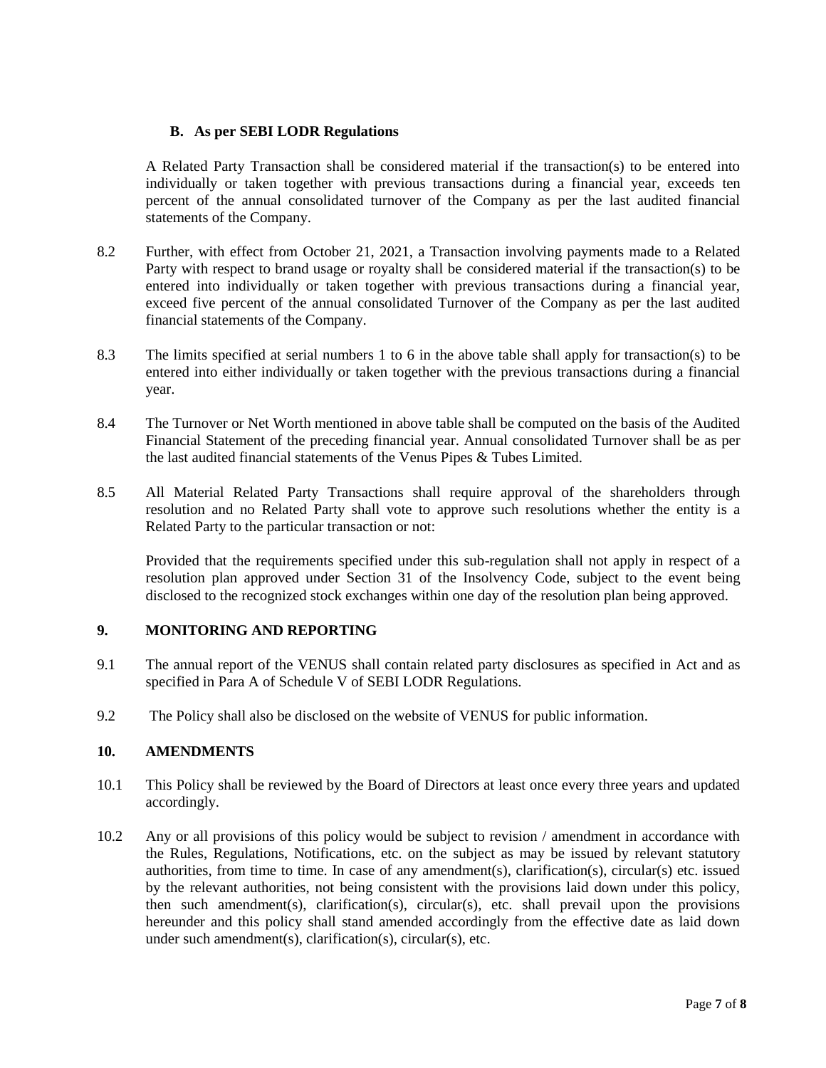## **B. As per SEBI LODR Regulations**

A Related Party Transaction shall be considered material if the transaction(s) to be entered into individually or taken together with previous transactions during a financial year, exceeds ten percent of the annual consolidated turnover of the Company as per the last audited financial statements of the Company.

- 8.2 Further, with effect from October 21, 2021, a Transaction involving payments made to a Related Party with respect to brand usage or royalty shall be considered material if the transaction(s) to be entered into individually or taken together with previous transactions during a financial year, exceed five percent of the annual consolidated Turnover of the Company as per the last audited financial statements of the Company.
- 8.3 The limits specified at serial numbers 1 to 6 in the above table shall apply for transaction(s) to be entered into either individually or taken together with the previous transactions during a financial year.
- 8.4 The Turnover or Net Worth mentioned in above table shall be computed on the basis of the Audited Financial Statement of the preceding financial year. Annual consolidated Turnover shall be as per the last audited financial statements of the Venus Pipes & Tubes Limited.
- 8.5 All Material Related Party Transactions shall require approval of the shareholders through resolution and no Related Party shall vote to approve such resolutions whether the entity is a Related Party to the particular transaction or not:

Provided that the requirements specified under this sub-regulation shall not apply in respect of a resolution plan approved under Section 31 of the Insolvency Code, subject to the event being disclosed to the recognized stock exchanges within one day of the resolution plan being approved.

## **9. MONITORING AND REPORTING**

- 9.1 The annual report of the VENUS shall contain related party disclosures as specified in Act and as specified in Para A of Schedule V of SEBI LODR Regulations.
- 9.2 The Policy shall also be disclosed on the website of VENUS for public information.

#### **10. AMENDMENTS**

- 10.1 This Policy shall be reviewed by the Board of Directors at least once every three years and updated accordingly.
- 10.2 Any or all provisions of this policy would be subject to revision / amendment in accordance with the Rules, Regulations, Notifications, etc. on the subject as may be issued by relevant statutory authorities, from time to time. In case of any amendment(s), clarification(s), circular(s) etc. issued by the relevant authorities, not being consistent with the provisions laid down under this policy, then such amendment(s), clarification(s), circular(s), etc. shall prevail upon the provisions hereunder and this policy shall stand amended accordingly from the effective date as laid down under such amendment(s), clarification(s), circular(s), etc.